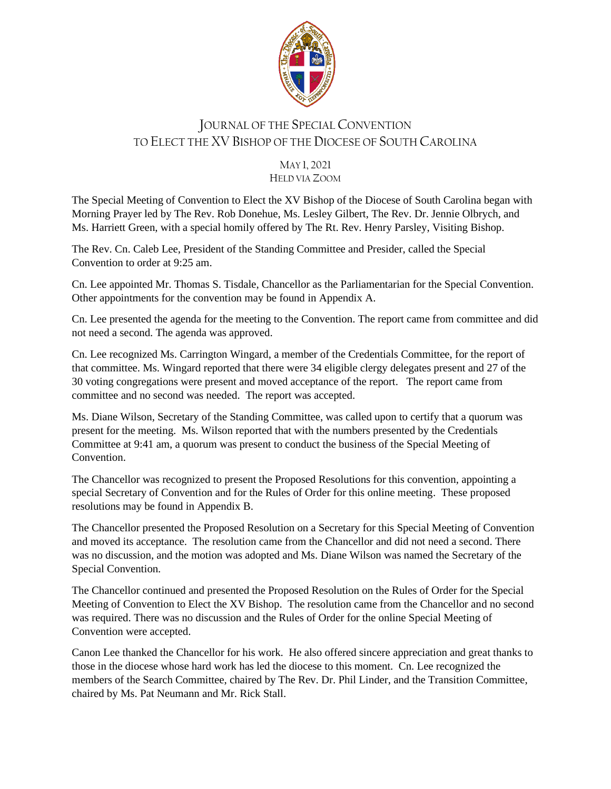

# JOURNAL OF THE SPECIAL CONVENTION TO ELECT THE XV BISHOP OF THE DIOCESE OF SOUTH CAROLINA

#### MAY 1, 2021 HELD VIA ZOOM

The Special Meeting of Convention to Elect the XV Bishop of the Diocese of South Carolina began with Morning Prayer led by The Rev. Rob Donehue, Ms. Lesley Gilbert, The Rev. Dr. Jennie Olbrych, and Ms. Harriett Green, with a special homily offered by The Rt. Rev. Henry Parsley, Visiting Bishop.

The Rev. Cn. Caleb Lee, President of the Standing Committee and Presider, called the Special Convention to order at 9:25 am.

Cn. Lee appointed Mr. Thomas S. Tisdale, Chancellor as the Parliamentarian for the Special Convention. Other appointments for the convention may be found in Appendix A.

Cn. Lee presented the agenda for the meeting to the Convention. The report came from committee and did not need a second. The agenda was approved.

Cn. Lee recognized Ms. Carrington Wingard, a member of the Credentials Committee, for the report of that committee. Ms. Wingard reported that there were 34 eligible clergy delegates present and 27 of the 30 voting congregations were present and moved acceptance of the report. The report came from committee and no second was needed. The report was accepted.

Ms. Diane Wilson, Secretary of the Standing Committee, was called upon to certify that a quorum was present for the meeting. Ms. Wilson reported that with the numbers presented by the Credentials Committee at 9:41 am, a quorum was present to conduct the business of the Special Meeting of **Convention** 

The Chancellor was recognized to present the Proposed Resolutions for this convention, appointing a special Secretary of Convention and for the Rules of Order for this online meeting. These proposed resolutions may be found in Appendix B.

The Chancellor presented the Proposed Resolution on a Secretary for this Special Meeting of Convention and moved its acceptance. The resolution came from the Chancellor and did not need a second. There was no discussion, and the motion was adopted and Ms. Diane Wilson was named the Secretary of the Special Convention.

The Chancellor continued and presented the Proposed Resolution on the Rules of Order for the Special Meeting of Convention to Elect the XV Bishop. The resolution came from the Chancellor and no second was required. There was no discussion and the Rules of Order for the online Special Meeting of Convention were accepted.

Canon Lee thanked the Chancellor for his work. He also offered sincere appreciation and great thanks to those in the diocese whose hard work has led the diocese to this moment. Cn. Lee recognized the members of the Search Committee, chaired by The Rev. Dr. Phil Linder, and the Transition Committee, chaired by Ms. Pat Neumann and Mr. Rick Stall.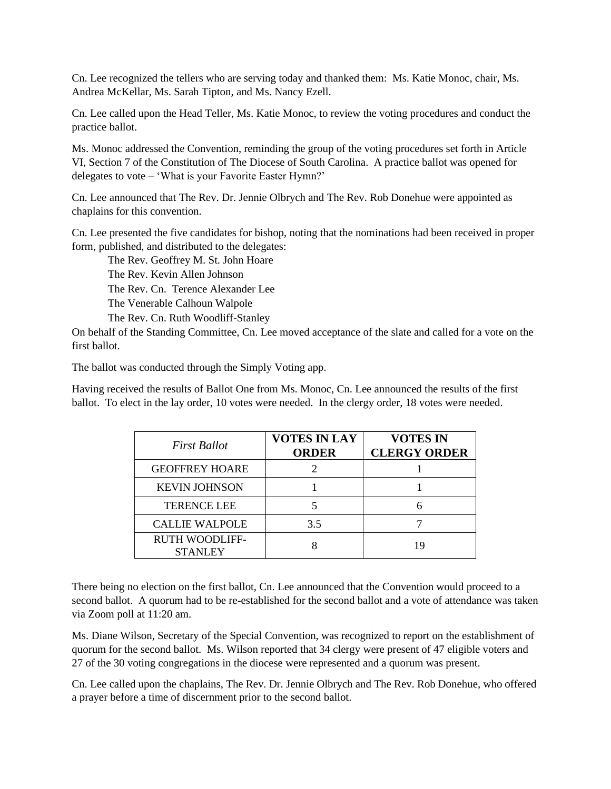Cn. Lee recognized the tellers who are serving today and thanked them: Ms. Katie Monoc, chair, Ms. Andrea McKellar, Ms. Sarah Tipton, and Ms. Nancy Ezell.

Cn. Lee called upon the Head Teller, Ms. Katie Monoc, to review the voting procedures and conduct the practice ballot.

Ms. Monoc addressed the Convention, reminding the group of the voting procedures set forth in Article VI, Section 7 of the Constitution of The Diocese of South Carolina. A practice ballot was opened for delegates to vote – 'What is your Favorite Easter Hymn?'

Cn. Lee announced that The Rev. Dr. Jennie Olbrych and The Rev. Rob Donehue were appointed as chaplains for this convention.

Cn. Lee presented the five candidates for bishop, noting that the nominations had been received in proper form, published, and distributed to the delegates:

The Rev. Geoffrey M. St. John Hoare The Rev. Kevin Allen Johnson The Rev. Cn. Terence Alexander Lee The Venerable Calhoun Walpole The Rev. Cn. Ruth Woodliff-Stanley

On behalf of the Standing Committee, Cn. Lee moved acceptance of the slate and called for a vote on the first ballot.

The ballot was conducted through the Simply Voting app.

Having received the results of Ballot One from Ms. Monoc, Cn. Lee announced the results of the first ballot. To elect in the lay order, 10 votes were needed. In the clergy order, 18 votes were needed.

| <b>First Ballot</b>                     | <b>VOTES IN LAY</b><br><b>ORDER</b> | <b>VOTES IN</b><br><b>CLERGY ORDER</b> |
|-----------------------------------------|-------------------------------------|----------------------------------------|
| <b>GEOFFREY HOARE</b>                   |                                     |                                        |
| <b>KEVIN JOHNSON</b>                    |                                     |                                        |
| <b>TERENCE LEE</b>                      |                                     | 6                                      |
| <b>CALLIE WALPOLE</b>                   | 3.5                                 |                                        |
| <b>RUTH WOODLIFF-</b><br><b>STANLEY</b> |                                     |                                        |

There being no election on the first ballot, Cn. Lee announced that the Convention would proceed to a second ballot. A quorum had to be re-established for the second ballot and a vote of attendance was taken via Zoom poll at 11:20 am.

Ms. Diane Wilson, Secretary of the Special Convention, was recognized to report on the establishment of quorum for the second ballot. Ms. Wilson reported that 34 clergy were present of 47 eligible voters and 27 of the 30 voting congregations in the diocese were represented and a quorum was present.

Cn. Lee called upon the chaplains, The Rev. Dr. Jennie Olbrych and The Rev. Rob Donehue, who offered a prayer before a time of discernment prior to the second ballot.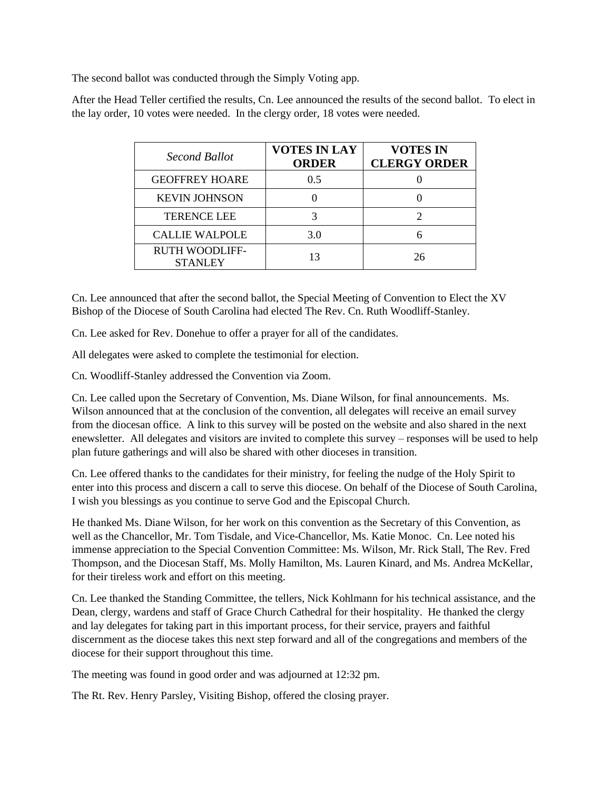The second ballot was conducted through the Simply Voting app.

After the Head Teller certified the results, Cn. Lee announced the results of the second ballot. To elect in the lay order, 10 votes were needed. In the clergy order, 18 votes were needed.

| Second Ballot                           | <b>VOTES IN LAY</b><br><b>ORDER</b> | <b>VOTES IN</b><br><b>CLERGY ORDER</b> |
|-----------------------------------------|-------------------------------------|----------------------------------------|
| <b>GEOFFREY HOARE</b>                   | 0.5                                 |                                        |
| <b>KEVIN JOHNSON</b>                    |                                     |                                        |
| <b>TERENCE LEE</b>                      |                                     |                                        |
| <b>CALLIE WALPOLE</b>                   | 3.0                                 |                                        |
| <b>RUTH WOODLIFF-</b><br><b>STANLEY</b> | 13                                  | 26                                     |

Cn. Lee announced that after the second ballot, the Special Meeting of Convention to Elect the XV Bishop of the Diocese of South Carolina had elected The Rev. Cn. Ruth Woodliff-Stanley.

Cn. Lee asked for Rev. Donehue to offer a prayer for all of the candidates.

All delegates were asked to complete the testimonial for election.

Cn. Woodliff-Stanley addressed the Convention via Zoom.

Cn. Lee called upon the Secretary of Convention, Ms. Diane Wilson, for final announcements. Ms. Wilson announced that at the conclusion of the convention, all delegates will receive an email survey from the diocesan office. A link to this survey will be posted on the website and also shared in the next enewsletter. All delegates and visitors are invited to complete this survey – responses will be used to help plan future gatherings and will also be shared with other dioceses in transition.

Cn. Lee offered thanks to the candidates for their ministry, for feeling the nudge of the Holy Spirit to enter into this process and discern a call to serve this diocese. On behalf of the Diocese of South Carolina, I wish you blessings as you continue to serve God and the Episcopal Church.

He thanked Ms. Diane Wilson, for her work on this convention as the Secretary of this Convention, as well as the Chancellor, Mr. Tom Tisdale, and Vice-Chancellor, Ms. Katie Monoc. Cn. Lee noted his immense appreciation to the Special Convention Committee: Ms. Wilson, Mr. Rick Stall, The Rev. Fred Thompson, and the Diocesan Staff, Ms. Molly Hamilton, Ms. Lauren Kinard, and Ms. Andrea McKellar, for their tireless work and effort on this meeting.

Cn. Lee thanked the Standing Committee, the tellers, Nick Kohlmann for his technical assistance, and the Dean, clergy, wardens and staff of Grace Church Cathedral for their hospitality. He thanked the clergy and lay delegates for taking part in this important process, for their service, prayers and faithful discernment as the diocese takes this next step forward and all of the congregations and members of the diocese for their support throughout this time.

The meeting was found in good order and was adjourned at 12:32 pm.

The Rt. Rev. Henry Parsley, Visiting Bishop, offered the closing prayer.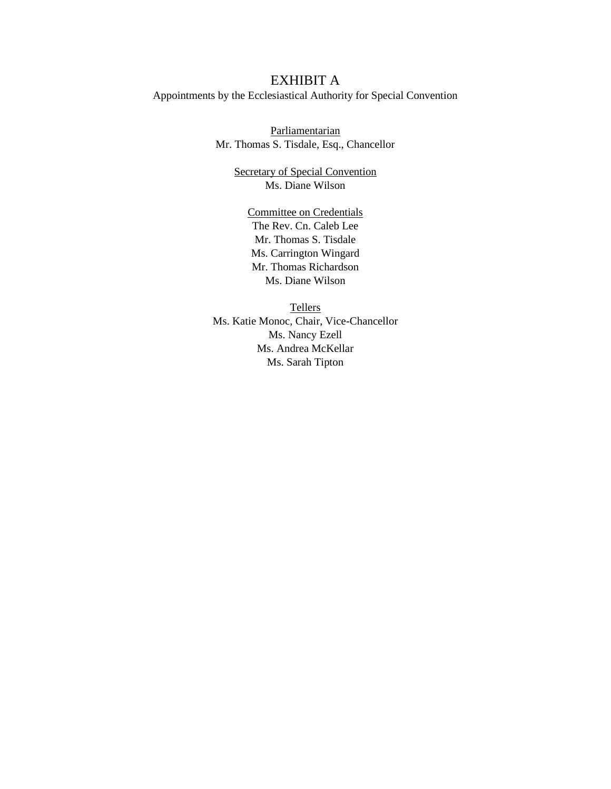#### EXHIBIT A

Appointments by the Ecclesiastical Authority for Special Convention

**Parliamentarian** Mr. Thomas S. Tisdale, Esq., Chancellor

> Secretary of Special Convention Ms. Diane Wilson

Committee on Credentials The Rev. Cn. Caleb Lee Mr. Thomas S. Tisdale Ms. Carrington Wingard Mr. Thomas Richardson Ms. Diane Wilson

Tellers Ms. Katie Monoc, Chair, Vice-Chancellor Ms. Nancy Ezell Ms. Andrea McKellar Ms. Sarah Tipton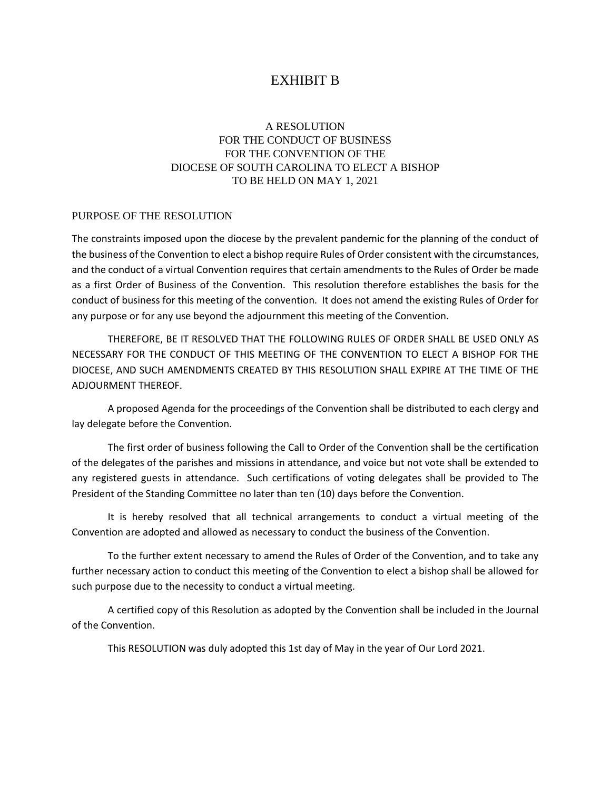### EXHIBIT B

#### A RESOLUTION FOR THE CONDUCT OF BUSINESS FOR THE CONVENTION OF THE DIOCESE OF SOUTH CAROLINA TO ELECT A BISHOP TO BE HELD ON MAY 1, 2021

#### PURPOSE OF THE RESOLUTION

The constraints imposed upon the diocese by the prevalent pandemic for the planning of the conduct of the business of the Convention to elect a bishop require Rules of Order consistent with the circumstances, and the conduct of a virtual Convention requires that certain amendments to the Rules of Order be made as a first Order of Business of the Convention. This resolution therefore establishes the basis for the conduct of business for this meeting of the convention. It does not amend the existing Rules of Order for any purpose or for any use beyond the adjournment this meeting of the Convention.

THEREFORE, BE IT RESOLVED THAT THE FOLLOWING RULES OF ORDER SHALL BE USED ONLY AS NECESSARY FOR THE CONDUCT OF THIS MEETING OF THE CONVENTION TO ELECT A BISHOP FOR THE DIOCESE, AND SUCH AMENDMENTS CREATED BY THIS RESOLUTION SHALL EXPIRE AT THE TIME OF THE ADJOURMENT THEREOF.

A proposed Agenda for the proceedings of the Convention shall be distributed to each clergy and lay delegate before the Convention.

The first order of business following the Call to Order of the Convention shall be the certification of the delegates of the parishes and missions in attendance, and voice but not vote shall be extended to any registered guests in attendance. Such certifications of voting delegates shall be provided to The President of the Standing Committee no later than ten (10) days before the Convention.

It is hereby resolved that all technical arrangements to conduct a virtual meeting of the Convention are adopted and allowed as necessary to conduct the business of the Convention.

To the further extent necessary to amend the Rules of Order of the Convention, and to take any further necessary action to conduct this meeting of the Convention to elect a bishop shall be allowed for such purpose due to the necessity to conduct a virtual meeting.

A certified copy of this Resolution as adopted by the Convention shall be included in the Journal of the Convention.

This RESOLUTION was duly adopted this 1st day of May in the year of Our Lord 2021.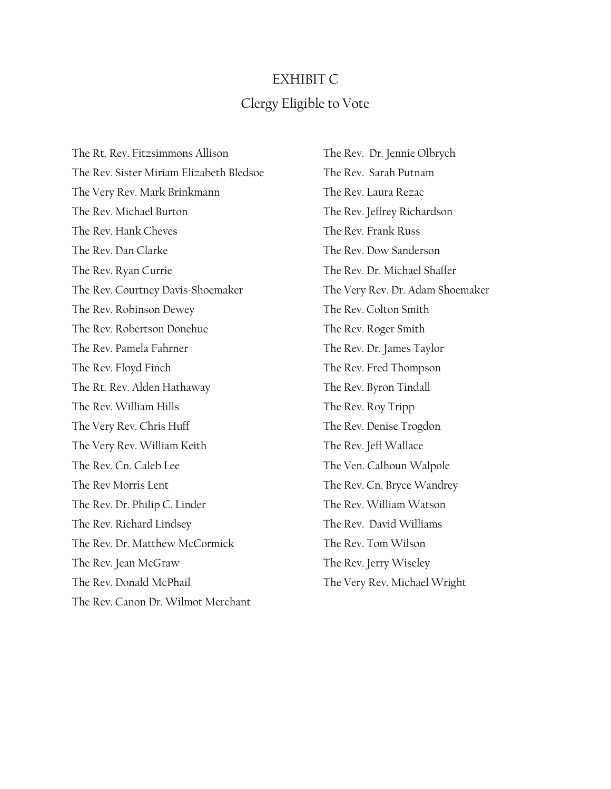# EXHIBIT C Clergy Eligible to Vote

The Rt. Rev. Fitzsimmons Allison The Rev. Sister Miriam Elizabeth Bledsoe The Very Rev. Mark Brinkmann The Rev. Michael Burton The Rev. Hank Cheves The Rev. Dan Clarke The Rev. Ryan Currie The Rev. Courtney Davis-Shoemaker The Rev. Robinson Dewey The Rev. Robertson Donehue The Rev. Pamela Fahrner The Rev. Floyd Finch The Rt. Rev. Alden Hathaway The Rev. William Hills The Very Rev. Chris Huff The Very Rev. William Keith The Rev. Cn. Caleb Lee The Rev Morris Lent The Rev. Dr. Philip C. Linder The Rev. Richard Lindsey The Rev. Dr. Matthew McCormick The Rev. Jean McGraw The Rev. Donald McPhail The Rev. Canon Dr. Wilmot Merchant

The Rev. Dr. Jennie Olbrych The Rev. Sarah Putnam The Rev. Laura Rezac The Rev. Jeffrey Richardson The Rev. Frank Russ The Rev. Dow Sanderson The Rev. Dr. Michael Shaffer The Very Rev. Dr. Adam Shoemaker The Rev. Colton Smith The Rev. Roger Smith The Rev. Dr. James Taylor The Rev. Fred Thompson The Rev. Byron Tindall The Rev. Roy Tripp The Rev. Denise Trogdon The Rev. Jeff Wallace The Ven. Calhoun Walpole The Rev. Cn. Bryce Wandrey The Rev. William Watson The Rev. David Williams The Rev. Tom Wilson The Rev. Jerry Wiseley The Very Rev. Michael Wright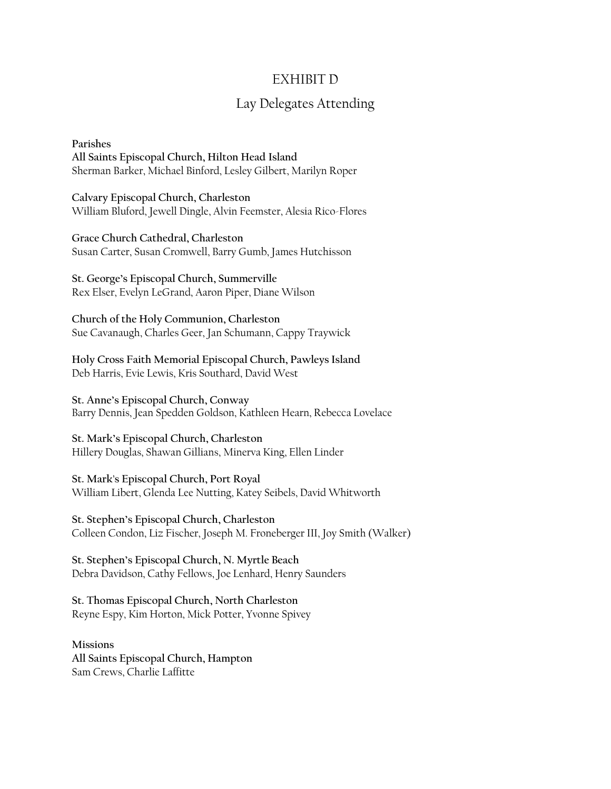## EXHIBIT D

# Lay Delegates Attending

**Parishes All Saints Episcopal Church, Hilton Head Island** Sherman Barker, Michael Binford, Lesley Gilbert, Marilyn Roper

**Calvary Episcopal Church, Charleston** William Bluford, Jewell Dingle, Alvin Feemster, Alesia Rico-Flores

**Grace Church Cathedral, Charleston** Susan Carter, Susan Cromwell, Barry Gumb, James Hutchisson

**St. George's Episcopal Church, Summerville**  Rex Elser, Evelyn LeGrand, Aaron Piper, Diane Wilson

**Church of the Holy Communion, Charleston** Sue Cavanaugh, Charles Geer, Jan Schumann, Cappy Traywick

**Holy Cross Faith Memorial Episcopal Church, Pawleys Island** Deb Harris, Evie Lewis, Kris Southard, David West

**St. Anne's Episcopal Church, Conway** Barry Dennis, Jean Spedden Goldson, Kathleen Hearn, Rebecca Lovelace

**St. Mark's Episcopal Church, Charleston** Hillery Douglas, Shawan Gillians, Minerva King, Ellen Linder

**St. Mark's Episcopal Church, Port Royal**  William Libert, Glenda Lee Nutting, Katey Seibels, David Whitworth

**St. Stephen's Episcopal Church, Charleston** Colleen Condon, Liz Fischer, Joseph M. Froneberger III, Joy Smith (Walker)

**St. Stephen's Episcopal Church, N. Myrtle Beach** Debra Davidson, Cathy Fellows, Joe Lenhard, Henry Saunders

**St. Thomas Episcopal Church, North Charleston** Reyne Espy, Kim Horton, Mick Potter, Yvonne Spivey

**Missions All Saints Episcopal Church, Hampton** Sam Crews, Charlie Laffitte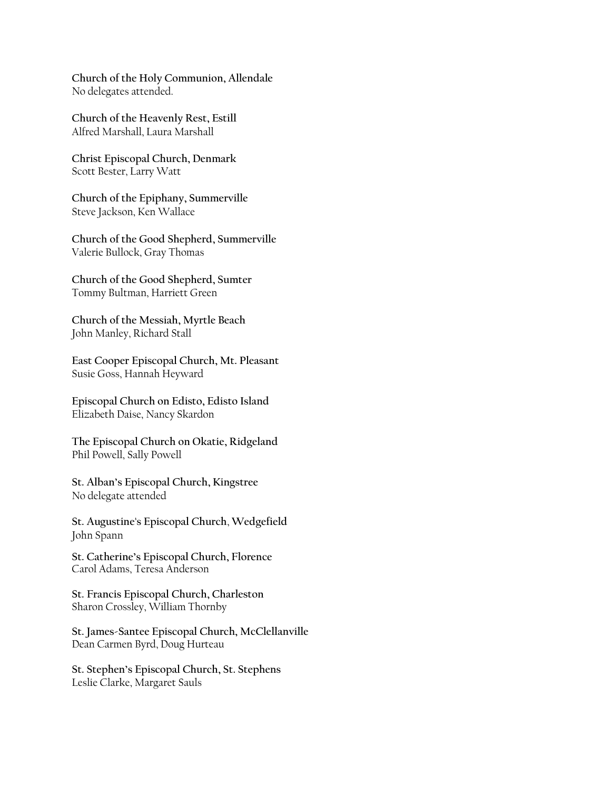**Church of the Holy Communion, Allendale** No delegates attended.

**Church of the Heavenly Rest, Estill**  Alfred Marshall, Laura Marshall

**Christ Episcopal Church, Denmark**  Scott Bester, Larry Watt

**Church of the Epiphany, Summerville**  Steve Jackson, Ken Wallace

**Church of the Good Shepherd, Summerville** Valerie Bullock, Gray Thomas

**Church of the Good Shepherd, Sumter** Tommy Bultman, Harriett Green

**Church of the Messiah, Myrtle Beach**  John Manley, Richard Stall

**East Cooper Episcopal Church, Mt. Pleasant** Susie Goss, Hannah Heyward

**Episcopal Church on Edisto, Edisto Island** Elizabeth Daise, Nancy Skardon

**The Episcopal Church on Okatie, Ridgeland** Phil Powell, Sally Powell

**St. Alban's Episcopal Church, Kingstree** No delegate attended

**St. Augustine's Episcopal Church**, **Wedgefield** John Spann

**St. Catherine's Episcopal Church, Florence** Carol Adams, Teresa Anderson

**St. Francis Episcopal Church, Charleston** Sharon Crossley, William Thornby

**St. James-Santee Episcopal Church, McClellanville** Dean Carmen Byrd, Doug Hurteau

**St. Stephen's Episcopal Church, St. Stephens** Leslie Clarke, Margaret Sauls